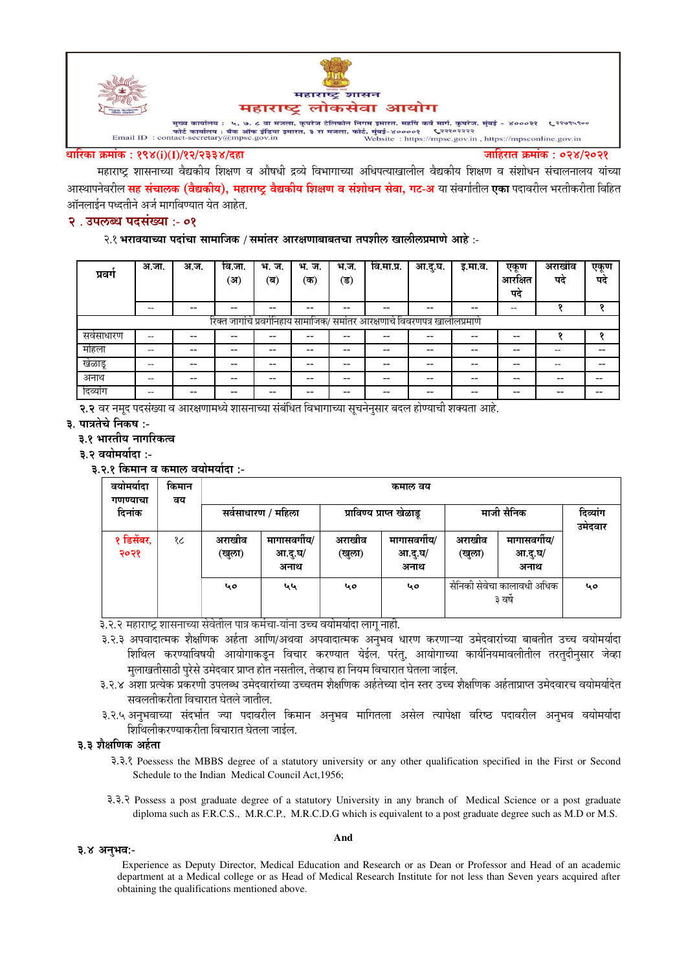

#### धारिका क्रमांक : १९४(i)(I)/१२/२३३४/दहा

जाहिरात क्रमांक : ०२४/२०२१

महाराष्ट्र शासनाच्या वैद्यकीय शिक्षण व औषधी द्रव्ये विभागाच्या अधिपत्याखालील वैद्यकीय शिक्षण व संशोधन संचालनालय यांच्या आस्थापनेवरील <mark>सह संचालक (वैद्यकीय), महाराष्ट्र वैद्यकीय शिक्षण व संशोधन सेवा, गट-अ</mark> या संवर्गातील <mark>एका</mark> पदावरील भरतीकरीता विहित ऑनलाईन पध्दतीने अर्ज मार्गावण्यात येत आहेत.

## २. उपलब्ध पदसंख्या :- ०१

#### २.१ भरावयाच्या पदांचा सामाजिक / समांतर आरक्षणाबाबतचा तपशील खालीलप्रमाणे आहे :-

| प्रवग                                                                       | अ.जा. | अ.ज.  | वि.जा.<br>(अ) | भ. ज.<br>(ब)             | भ.<br>ज.<br>(क) | भ.ज.<br>'ৱ) | वि.मा.प्र.               | आ.दु.घ.                  | इ.मा.व. | एकूण<br>आरक्षित<br>पद | अराखीव<br>पद | एकूण<br>पद |
|-----------------------------------------------------------------------------|-------|-------|---------------|--------------------------|-----------------|-------------|--------------------------|--------------------------|---------|-----------------------|--------------|------------|
|                                                                             | --    | $- -$ | --            | $\overline{\phantom{m}}$ |                 | --          | --                       | $- -$                    | $- -$   | --                    | o            | $\bullet$  |
| रिक्त जागांचे प्रवर्गनिहाय सामाजिक/ समांतर आरक्षणाचे विवरणपत्र खालीलप्रमाणे |       |       |               |                          |                 |             |                          |                          |         |                       |              |            |
| सर्वसाधारण                                                                  | --    | $- -$ | --            | $- -$                    |                 | --          | --                       | --                       | --      | $- -$                 |              | ິ          |
| महिला                                                                       |       | $- -$ | $- -$         | $- -$                    | --              | --          | $- -$                    | $- -$                    | $- -$   | $- -$                 | --           | --         |
| खेळाडू                                                                      | --    | $- -$ | --            | $- -$                    | --              | --          | $\overline{\phantom{m}}$ | $\overline{\phantom{m}}$ | $- -$   | $- -$                 | --           |            |
| अनाथ                                                                        | --    |       | --            | $- -$                    |                 | --          | --                       | $- -$                    | --      | --                    | --           |            |
| दिव्यांग                                                                    | --    | --    | --            | $- -$                    |                 | --          | --                       | $- -$                    | $- -$   | $- -$                 | $- -$        | --         |

२.२ वर नमुद पदसंख्या व आरक्षणामध्ये शासनाच्या संबंधित विभागाच्या सूचनेनुसार बदल होण्याची शक्यता आहे.

- ३. पात्रतेचे निकष :-
	- ३.१ भारतीय नागरिकत्व

३.२ वयोमर्यादा :-

३.२.१ किमान व कमाल वयोमर्यादा :-

| वयामयादा<br>गणण्याचा | किमान<br>वय | कमाल वय          |                                 |                  |                                 |                                       |                                 |                     |  |  |  |
|----------------------|-------------|------------------|---------------------------------|------------------|---------------------------------|---------------------------------------|---------------------------------|---------------------|--|--|--|
| दिनांक               |             |                  | सर्वसाधारण / महिला              |                  | प्राविण्य प्राप्त खेळाडू        | माजी सैनिक                            |                                 | दिव्यांग<br>उमेदवार |  |  |  |
| १ डिसेंबर,<br>२०२१   | १८          | अराखीव<br>(खुला) | मागासवर्गीय/<br>आ.दु.घ/<br>अनाथ | अराखीव<br>(खुला) | मागासवर्गीय/<br>आ.दु.घ/<br>अनाथ | अराखीव<br>(खुला)                      | मागासवर्गीय/<br>आ.दु.घ/<br>अनाथ |                     |  |  |  |
|                      |             | ५०               | لعرفع                           | ५०               | 40                              | सैनिकी सेवेचा कालावधी अधिक<br>३ वर्षे |                                 | 40                  |  |  |  |

३.२.२ महाराष्ट्र शासनाच्या सेवेतील पात्र कर्मचा-यांना उच्च वयोमर्यादा लागू नाही.

- ३.२.३ अपवादात्मक शैक्षणिक अर्हता आणि/अथवा अपवादात्मक अनुभव धारण करणाऱ्या उमेदवारांच्या बाबतीत उच्च वयोमर्यादा शिथिल करण्याविषयी आयोगाकडून विचार करण्यात येईल. परंतु, आयोगाच्या कार्यनियमावलीतील तरतुदीनुसार जेव्हा मुलाखतीसाठी पुरेसे उमेदवार प्राप्त होत नसतील, तेव्हाच हा नियम विचारात घेतला जाईल.
- ३.२.४ अशा प्रत्येक प्रकरणी उपलब्ध उमेदवारांच्या उच्चतम शैक्षणिक अर्हतेच्या दोन स्तर उच्च शैक्षणिक अर्हताप्राप्त उमेदवारच वयोमर्यादेत सवलतीकरीता विचारात घेतले जातील.
- ३.२.५ अनुभवाच्या संदर्भात ज्या पदावरील किमान अनुभव मागितला असेल त्यापेक्षा वरिष्ठ पदावरील अनुभव वयोमर्यादा शिथिलीकरण्याकरीता विचारात घेतला जाईल.

#### ३.३ शैक्षणिक अर्हता

- 3.3.8 Poessess the MBBS degree of a statutory university or any other qualification specified in the First or Second Schedule to the Indian Medical Council Act. 1956:
- 3.3. Possess a post graduate degree of a statutory University in any branch of Medical Science or a post graduate diploma such as F.R.C.S., M.R.C.P., M.R.C.D.G which is equivalent to a post graduate degree such as M.D or M.S.

#### ३.४ अनुभव:-

Experience as Deputy Director, Medical Education and Research or as Dean or Professor and Head of an academic department at a Medical college or as Head of Medical Research Institute for not less than Seven years acquired after obtaining the qualifications mentioned above.

#### And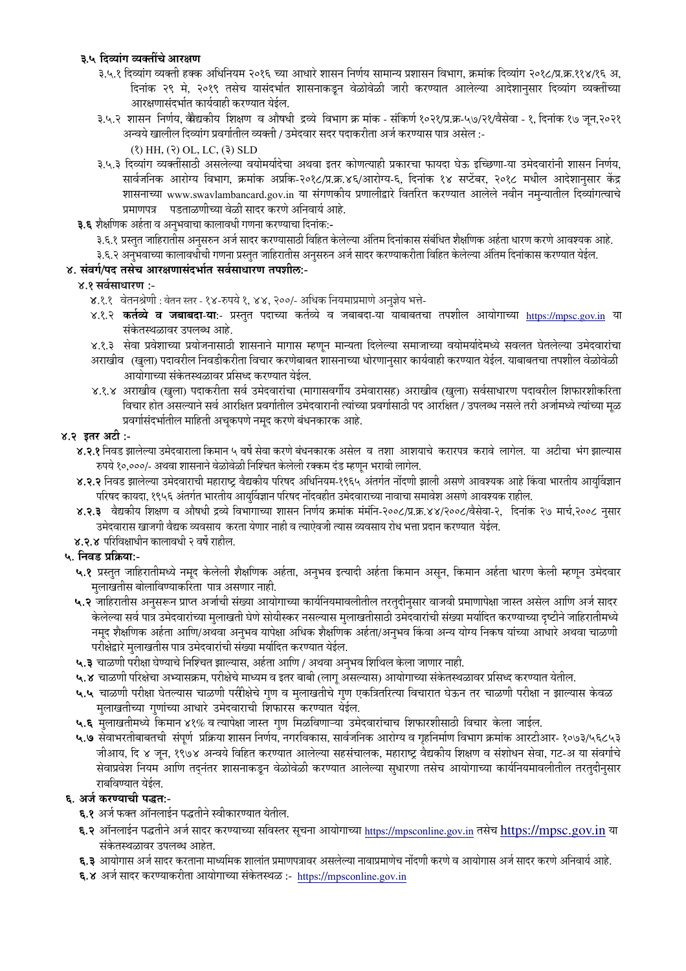## ३.५ दिव्यांग व्यक्तींचे आरक्षण

- ३.५.१ दिव्यांग व्यक्ती हक्क अधिनियम २०१६ च्या आधारे शासन निर्णय सामान्य प्रशासन विभाग, क्रमांक दिव्यांग २०१८/प्र.क्र.११४/१६ अ, दिनांक २९ मे, २०१९ तसेच यासंदर्भात शासनाकडून वेळोवेळी जारी करण्यात आलेल्या आदेशानुसार दिव्यांग व्यक्तींच्या आरक्षणासंदर्भात कार्यवाही करण्यात येईल.
- ३.५.२ शासन निर्णय, वैधिकीय शिक्षण व औषधी द्रव्ये विभाग क्र मांक संकिर्ण १०२१/प्र.क्र-५७/२१/वैसेवा १, दिनांक १७ जून,२०२१ अन्वये खालील दिव्यांग प्रवर्गातील व्यक्ती / उमेदवार सदर पदाकरीता अर्ज करण्यास पात्र असेल :-
	- $(3)$  HH,  $(3)$  OL, LC,  $(3)$  SLD
- ३.५.३ दिव्यांग व्यक्तींसाठी असलेल्या वयोमर्यादेचा अथवा इतर कोणत्याही प्रकारचा फायदा घेऊ इच्छिणा-या उमेदवारांनी शासन निर्णय, सार्वजनिक आरोग्य विभाग, क्रमांक अप्रकि-२०१८/प्र.क्र.४६/आरोग्य-६, दिनांक १४ सप्टेंबर, २०१८ मधील आदेशानुसार केंद्र शासनाच्या www.swavlambancard.gov.in या संगणकीय प्रणालीद्वारे वितरित करण्यात आलेले नवीन नमुन्यातील दिव्यांगत्वाचे प्रमाणपत्र पडताळणीच्या वेळी सादर करणे अनिवार्य आहे.
- ३.६ शैक्षणिक अर्हता व अनुभवाचा कालावधी गणना करण्याचा दिनांक:-
	- ३.६.१ प्रस्तुत जाहिरातीस अनुसरुन अर्ज सादर करण्यासाठी विहित केलेल्या अंतिम दिनांकास संबंधित शैक्षणिक अर्हता धारण करणे आवश्यक आहे.
		- ३.६.२ अनुभवाच्या कालावधीची गणना प्रस्तुत जाहिरातीस अनुसरुन अर्ज सादर करण्याकरीता विहित केलेल्या अंतिम दिनांकास करण्यात येईल.

## ४. संवर्ग/पद तसेच आरक्षणासंदर्भात सर्वसाधारण तपशील:-

## ४.१ सर्वसाधारण :-

- ४.१.१ वेतनश्रेणी : वेतन स्तर १४-रुपये १, ४४, २००/- अधिक नियमाप्रमाणे अनुज्ञेय भत्ते-
- ४.१.२ **कर्तव्ये व जबाबदा-या:** प्रस्तुत पदाच्या कर्तव्ये व जबाबदा-या याबाबतचा तपशील आयोगाच्या <u>https://mpsc.gov.in</u> या संकेतस्थळावर उपलब्ध आहे.
- ४.१.३ सेवा प्रवेशाच्या प्रयोजनासाठी शासनाने मागास म्हणून मान्यता दिलेल्या समाजाच्या वयोमर्यादेमध्ये सवलत घेतलेल्या उमेदवारांचा
- अराखीव (खुला) पदावरील निवडीकरीता विचार करणेबाबत शासनाच्या धोरणानुसार कार्यवाही करण्यात येईल. याबाबतचा तपशील वेळोवेळी आयोगाच्या संकेतस्थळावर प्रसिध्द करण्यात येईल.
- ४.१.४ अराखीव (खुला) पदाकरीता सर्व उमेदवारांचा (मागासवर्गीय उमेवारासह) अराखीव (खुला) सर्वसाधारण पदावरील शिफारशीकरिता विचार होत असल्याने सर्व आरक्षित प्रवर्गातील उमेदवारानी त्यांच्या प्रवर्गासाठी पद आरक्षित / उपलब्ध नसले तरी अर्जामध्ये त्यांच्या मूळ प्रवर्गासंदर्भातील माहिती अचूकपणे नमूद करणे बंधनकारक आहे.

## ४.२ इतर अटी :-

- ४.२.१ निवड झालेल्या उमेदवाराला किमान ५ वर्षे सेवा करणे बंधनकारक असेल व तशा आशयाचे करारपत्र करावे लागेल. या अटीचा भंग झाल्यास रुपये १०,०००/- अथवा शासनाने वेळोवेळी निश्चित केलेली रक्कम दंड म्हणून भरावी लागेल.
- ४.२.२ निवड झालेल्या उमेदवाराची महाराष्ट्र वैद्यकीय परिषद अधिनियम-१९६५ अंतर्गत नोंदणी झाली असणे आवश्यक आहे किंवा भारतीय आयुर्विज्ञान परिषद कायदा, १९५६ अंतर्गत भारतीय आयुर्विज्ञान परिषद नोंदवहीत उमेदवाराच्या नावाचा समावेश असणे आवश्यक राहील.
- ४.२.३ वैद्यकीय शिक्षण व औषधी द्रव्ये विभागाच्या शासन निर्णय क्रमांक मंमंनि-२००८/प्र.क्र.४४/२००८/वैसेवा-२, दिनांक २७ मार्च,२००८ नुसार उमेदवारास खाजगी वैद्यक व्यवसाय करता येणार नाही व त्याऐवजी त्यास व्यवसाय रोध भत्ता प्रदान करण्यात येईल.
- ४.२.४ परिविक्षाधीन कालावधी २ वर्षे राहील.

# ५. निवड प्रक्रिया:-

- ५.१ प्रस्तुत जाहिरातीमध्ये नमूद केलेली शैक्षणिक अर्हता, अनुभव इत्यादी अर्हता किमान असून, किमान अर्हता धारण केली म्हणून उमेदवार मलाखतीस बोलाविण्याकरिता पात्र असणार नाही.
- ५.२ जाहिरातीस अनुसरून प्राप्त अर्जाची संख्या आयोगाच्या कार्यनियमावलीतील तरतुदीनुसार वाजवी प्रमाणापेक्षा जास्त असेल आणि अर्ज सादर केलेल्या सर्व पात्र उमेदवारांच्या मुलाखती घेणे सोयीस्कर नसल्यास मुलाखतीसाठी उमेदवारांची संख्या मर्यादित करण्याच्या दृष्टीने जाहिरातीमध्ये नमूद शैक्षणिक अर्हता आणि/अथवा अनुभव यापेक्षा अधिक शैक्षणिक अर्हता/अनुभव किंवा अन्य योग्य निकष यांच्या आधारे अथवा चाळणी परीक्षेद्वारे मुलाखतीस पात्र उमेदवारांची संख्या मर्यादित करण्यात येईल.
- ५.३ चाळणी परीक्षा घेण्याचे निश्चित झाल्यास, अर्हता आणि / अथवा अनुभव शिथिल केला जाणार नाही.
- ५.४ चाळणी परिक्षेचा अभ्यासक्रम, परीक्षेचे माध्यम व इतर बाबी (लागू असल्यास) आयोगाच्या संकेतस्थळावर प्रसिध्द करण्यात येतील.
- ५.५ चाळणी परीक्षा घेतल्यास चाळणी परीीक्षेचे गुण व मुलाखतीचे गुण एकत्रितरित्या विचारात घेऊन तर चाळणी परीक्षा न झाल्यास केवळ मुलाखतीच्या गुणांच्या आधारे उमेदवाराची शिफारस करण्यात येईल.
- ५.६ मुलाखतीमध्ये किमान ४१% व त्यापेक्षा जास्त गुण मिळविणाऱ्या उमेदवारांचाच शिफारशीसाठी विचार केला जाईल.
- ५.७ सेवाभरतीबाबतची संपूर्ण प्रक्रिया शासन निर्णय, नगरविकास, सार्वजनिक आरोग्य व गृहनिर्माण विभाग क्रमांक आरटीआर- १०७३/५६८५३ जीआय, दि ४ जून, १९७४ अन्वये विहित करण्यात आलेल्या सहसंचालक, महाराष्ट्र वैद्यकीय शिक्षण व संशोधन सेवा, गट-अ या संवर्गाचे सेवाप्रवेश नियम आणि तद्नंतर शासनाकडून वेळोवेळी करण्यात आलेल्या सुधारणा तसेच आयोगाच्या कार्यनियमावलीतील तरतुदीनुसार राबविण्यात येईल.

## ६. अर्ज करण्याची पद्धत:-

- ६.१ अर्ज फक्त ऑनलाईन पद्धतीने स्वीकारण्यात येतील.
- ६.२ ऑनलाईन पद्धतीने अर्ज सादर करण्याच्या सविस्तर सूचना आयोगाच्या https://mpsconline.gov.in तसेच https://mpsc.gov.in या संकेतस्थळावर उपलब्ध आहेत.
- **६.३** आयोगास अर्ज सादर करताना माध्यमिक शालांत प्रमाणपत्रावर असलेल्या नावाप्रमाणेच नोंदणी करणे व आयोगास अर्ज सादर करणे अनिवार्य आहे.
- ६.४ अर्ज सादर करण्याकरीता आयोगाच्या संकेतस्थळ :- https://mpsconline.gov.in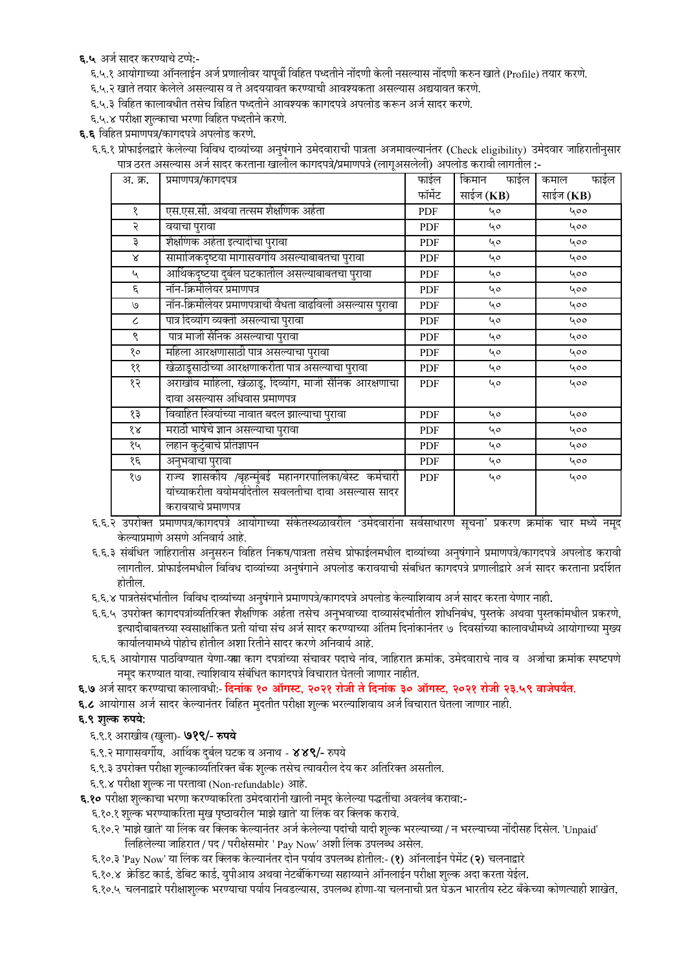६.५ अर्ज सादर करण्याचे टप्पे:-

अ. क्र.

१

२

३

 $\propto$ 

 $\mathbf{v}$  $\epsilon$ 

 $\mathcal{O}$ 

 $\overline{\mathcal{L}}$ 

९

१०

११

१२

१३

 $88$ 

१५

१६

 $\overline{2}$ 

होतील.

६.९ शुल्क रुपये:

६.९.१ अराखीव (खुला)- **७१९/- रुपये** 

६.५.१ आयोगाच्या ऑनलाईन अर्ज प्रणालीवर यापूर्वी विहित पध्दतीने नोंदणी केली नसल्यास नोंदणी करुन खाते (Profile) तयार करणे.

६.६.१ प्रोफाईलद्वारे केलेल्या विविध दाव्यांच्या अनुषंगाने उमेदवाराची पात्रता अजमावल्यानंतर (Check eligibility) उमेदवार जाहिरातीनुसार

६.६.२ उपरोक्त प्रमाणपत्र/कागदपत्रे आयोगाच्या संकेतस्थळावरील 'उमेदवारांना सर्वसाधारण सूचना' प्रकरण क्रमांक चार मध्ये नमुद

६.६.३ संबंधित जाहिरातीस अनुसरुन विहित निकष/पात्रता तसेच प्रोफाईलमधील दाव्यांच्या अनुषंगाने प्रमाणपत्रे/कागदपत्रे अपलोड करावी लागतील. प्रोफाईलमधील विविध दाव्यांच्या अनुषंगाने अपलोड करावयाची संबधित कागदपत्रे प्रणालीद्वारे अर्ज सादर करताना प्रदर्शित

६.६.५ उपरोक्त कागदपत्रांव्यतिरिक्त शैक्षणिक अर्हता तसेच अनुभवाच्या दाव्यासंदर्भातील शोधनिबंध, पुस्तके अथवा पुस्तकांमधील प्रकरणे, इत्यादीबाबतच्या स्वसाक्षांकित प्रती यांचा संच अर्ज सादर करण्याच्या अंतिम दिनांकानंतर ७ दिवसांच्या कालावधीमध्ये आयोगाच्या मुख्य

६.६.६ आयोगास पाठविण्यात येणा-याा काग दपत्रांच्या संचावर पदाचे नांव, जाहिरात क्रमांक, उमेदवाराचे नाव व अर्जाचा क्रमांक स्पष्टपणे

६.१०.२ 'माझे खाते' या लिंक वर क्लिक केल्यानंतर अर्ज केलेल्या पदांची यादी शुल्क भरल्याच्या / न भरल्याच्या नोंदीसह दिसेल. 'Unpaid'

६.१०.५ चलनाद्वारे परीक्षाशुल्क भरण्याचा पर्याय निवडल्यास, उपलब्ध होणा-या चलनाची प्रत घेऊन भारतीय स्टेट बँकेच्या कोणत्याही शाखेत,

६.६.४ पात्रतेसंदर्भातील विविध दाव्यांच्या अनुषंगाने प्रमाणपत्रे/कागदपत्रे अपलोड केल्याशिवाय अर्ज सादर करता येणार नाही.

६.७ अर्ज सादर करण्याचा कालावधी:- दिनांक १० ऑगस्ट, २०२१ रोजी ते दिनांक ३० ऑगस्ट, २०२१ रोजी २३.५९ वाजेपर्यंत.

फाईल

फॉर्मेट

**PDF** 

**PDF** 

**PDF** 

PDF

**PDF** 

PDF

PDF

PDF

**PDF** 

**PDF** 

PDF

**PDF** 

**PDF** 

PDF

PDF

**PDF** 

PDF

किमान

साईज (KB)

 $40$ 

40

 $40$ 

40

 $40$ 

40

40

 $40$ 

40

40

40

 $40$ 

 $40$ 

 $40$ 

40

40

 $\overline{\mathbf{b}}$ 

फाईल

कमाल

साईज (KB)

 $400$ 

400

400

 $400$ 

 $400$ 

 $\overline{u}$ 

 $400$ 

 $400$ 

 $400$ 

400

 $400$ 

400

 $400$ 

400

400  $400$ 

 $400$ 

फाईल

६.६ विहित प्रमाणपत्र/कागदपत्रे अपलोड करणे.

प्रमाणपत्र/कागदपत्र

वयाचा पुरावा

एस.एस.सी. अथवा तत्सम शैक्षणिक अर्हता

सामाजिकदृष्टया मागासवर्गीय असल्याबाबतचा पुरावा

आर्थिकदृष्टया दुर्बल घटकातील असल्याबाबतचा पुरावा

खेळाडूसाठीच्या आरक्षणाकरीता पात्र असल्याचा पुरावा

विवाहित स्त्रियांच्या नावात बदल झाल्याचा परावा

नॉन-क्रिमीलेयर प्रमाणपत्राची वैधता वाढविली असल्यास पुरावा

अराखीव माहिला, खेळाडू, दिव्यांग, माजी सैनिक आरक्षणाचा

राज्य शासकीय /बृहन्मुंबई महानगरपालिका/बेस्ट कर्मचारी

यांच्याकरीता वयोमर्यादेतील सवलतीचा दावा असल्यास सादर

शैक्षणिक अर्हता इत्यादीचा पुरावा

पात्र दिव्यांग व्यक्ती असल्याचा पुरावा

पात्र माजी सैनिक असल्याचा पुरावा

दावा असल्यास अधिवास प्रमाणपत्र

मराठी भाषेचे ज्ञान असल्याचा पुरावा

कार्यालयामध्ये पोहोच होतील अशा रितीने सादर करणे अनिवार्य आहे.

६.९.२ मागासवर्गीय, आर्थिक दुर्बल घटक व अनाथ - ४४९/- रुपये

६.९.४ परीक्षा शुल्क ना परतावा (Non-refundable) आहे.

नमूद करण्यात यावा. त्याशिवाय संबंधित कागदपत्रे विचारात घेतली जाणार नाहीत.

६.९.३ उपरोक्त परीक्षा शुल्काव्यतिरिक्त बँक शुल्क तसेच त्यावरील देय कर अतिरिक्त असतील.

६.१०.१ शुल्क भरण्याकरिता मुख पृष्ठावरील 'माझे खाते' या लिंक वर क्लिक करावे.

६.१० परीक्षा शुल्काचा भरणा करण्याकरिता उमेदवारांनी खाली नमूद केलेल्या पद्धतींचा अवलंब करावा:-

लिहिलेल्या जाहिरात / पद / परीक्षेसमोर ' Pay Now' अशी लिंक उपलब्ध असेल.

६.१०.३ 'Pay Now' या लिंक वर क्लिक केल्यानंतर दोन पर्याय उपलब्ध होतील:- (१) ऑनलाईन पेमेंट (२) चलनाद्वारे ६.१०.४ क्रेडिट कार्ड, डेबिट कार्ड, युपीआय अथवा नेटबँकिंगच्या सहाय्याने ऑनलाईन परीक्षा शुल्क अदा करता येईल.

६.८ आयोगास अर्ज सादर केल्यानंतर विहित मुदतीत परीक्षा शुल्क भरल्याशिवाय अर्ज विचारात घेतला जाणार नाही.

लहान कुटुंबाचे प्रतिज्ञापन

अनुभवाचा पुरावा

करावयाचे प्रमाणपत्र

केल्याप्रमाणे असणे अनिवार्य आहे.

महिला आरक्षणासाठी पात्र असल्याचा पुरावा

नॉन-क्रिमीलेयर प्रमाणपत्र

६.५.२ खाते तयार केलेले असल्यास व ते अदययावत करण्याची आवश्यकता असल्यास अद्ययावत करणे.

-: पात्र ठरत असल्यास अर्ज सादर करताना खालील कागदपत्रे/प्रमाणपत्रे (लागुअसलेली) अपलोड करावी लागतील

६.५.३ विहित कालावधीत तसेच विहित पध्दतीने आवश्यक कागदपत्रे अपलोड करून अर्ज सादर करणे.

६.५.४ परीक्षा शुल्काचा भरणा विहित पध्दतीने करणे.